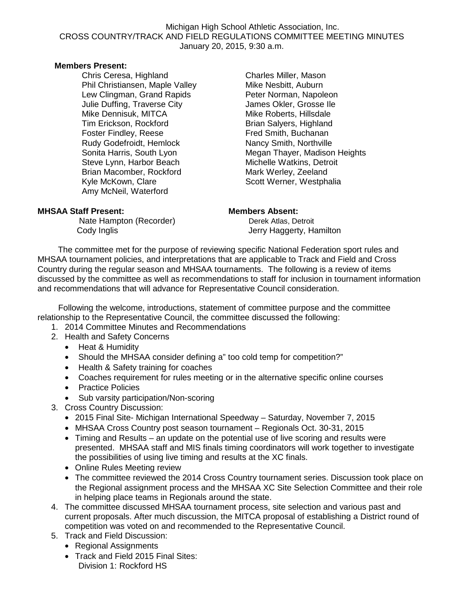#### Michigan High School Athletic Association, Inc. CROSS COUNTRY/TRACK AND FIELD REGULATIONS COMMITTEE MEETING MINUTES January 20, 2015, 9:30 a.m.

### **Members Present:**

Chris Ceresa, Highland Phil Christiansen, Maple Valley Lew Clingman, Grand Rapids Julie Duffing, Traverse City Mike Dennisuk, MITCA Tim Erickson, Rockford Foster Findley, Reese Rudy Godefroidt, Hemlock Sonita Harris, South Lyon Steve Lynn, Harbor Beach Brian Macomber, Rockford Kyle McKown, Clare Amy McNeil, Waterford

Charles Miller, Mason Mike Nesbitt, Auburn Peter Norman, Napoleon James Okler, Grosse Ile Mike Roberts, Hillsdale Brian Salyers, Highland Fred Smith, Buchanan Nancy Smith, Northville Megan Thayer, Madison Heights Michelle Watkins, Detroit Mark Werley, Zeeland Scott Werner, Westphalia

### **MHSAA Staff Present: Members Absent:**

Nate Hampton (Recorder) Derek Atlas, Detroit Cody Inglis Cody Inglis Cody Inglis Cody Inglis

The committee met for the purpose of reviewing specific National Federation sport rules and MHSAA tournament policies, and interpretations that are applicable to Track and Field and Cross Country during the regular season and MHSAA tournaments. The following is a review of items discussed by the committee as well as recommendations to staff for inclusion in tournament information and recommendations that will advance for Representative Council consideration.

 Following the welcome, introductions, statement of committee purpose and the committee relationship to the Representative Council, the committee discussed the following:

- 1. 2014 Committee Minutes and Recommendations
- 2. Health and Safety Concerns
	- Heat & Humidity
	- Should the MHSAA consider defining a" too cold temp for competition?"
	- Health & Safety training for coaches
	- Coaches requirement for rules meeting or in the alternative specific online courses
	- Practice Policies
	- Sub varsity participation/Non-scoring
- 3. Cross Country Discussion:
	- 2015 Final Site- Michigan International Speedway Saturday, November 7, 2015
	- MHSAA Cross Country post season tournament Regionals Oct. 30-31, 2015
	- Timing and Results an update on the potential use of live scoring and results were presented. MHSAA staff and MIS finals timing coordinators will work together to investigate the possibilities of using live timing and results at the XC finals.
	- Online Rules Meeting review
	- The committee reviewed the 2014 Cross Country tournament series. Discussion took place on the Regional assignment process and the MHSAA XC Site Selection Committee and their role in helping place teams in Regionals around the state.
- 4. The committee discussed MHSAA tournament process, site selection and various past and current proposals. After much discussion, the MITCA proposal of establishing a District round of competition was voted on and recommended to the Representative Council.
- 5. Track and Field Discussion:
	- Regional Assignments
	- Track and Field 2015 Final Sites: Division 1: Rockford HS